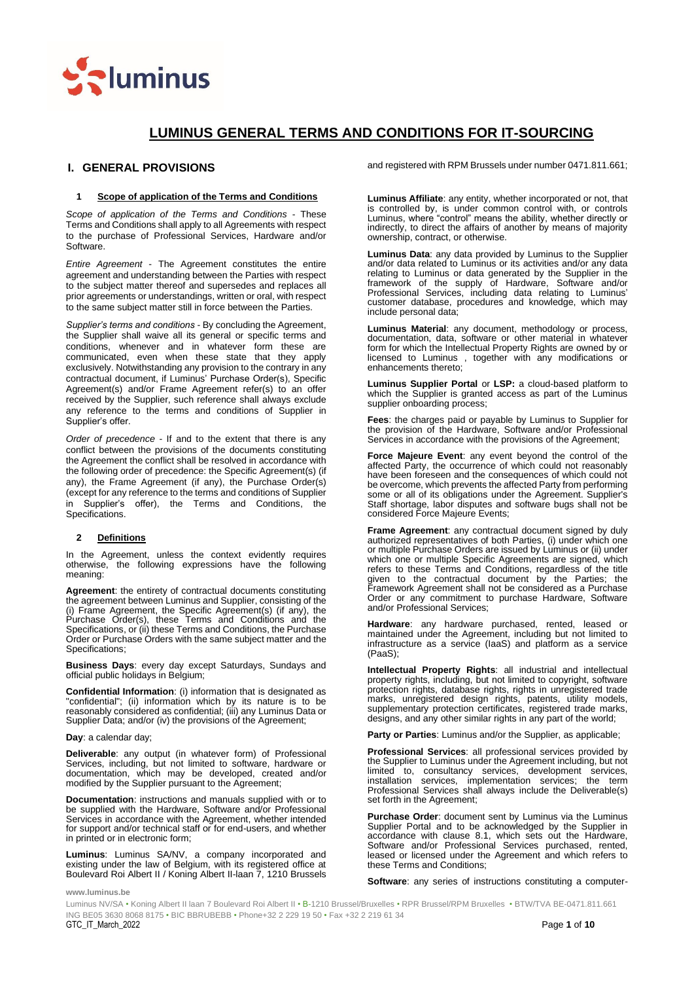

# **LUMINUS GENERAL TERMS AND CONDITIONS FOR IT-SOURCING**

# <span id="page-0-0"></span>**I. GENERAL PROVISIONS**

### **1 Scope of application of the Terms and Conditions**

*Scope of application of the Terms and Conditions* - These Terms and Conditions shall apply to all Agreements with respect to the purchase of Professional Services, Hardware and/or Software.

*Entire Agreement* - The Agreement constitutes the entire agreement and understanding between the Parties with respect to the subject matter thereof and supersedes and replaces all prior agreements or understandings, written or oral, with respect to the same subject matter still in force between the Parties.

*Supplier's terms and conditions* - By concluding the Agreement, the Supplier shall waive all its general or specific terms and conditions, whenever and in whatever form these are communicated, even when these state that they apply exclusively. Notwithstanding any provision to the contrary in any contractual document, if Luminus' Purchase Order(s), Specific Agreement(s) and/or Frame Agreement refer(s) to an offer received by the Supplier, such reference shall always exclude any reference to the terms and conditions of Supplier in Supplier's offer.

*Order of precedence* - If and to the extent that there is any conflict between the provisions of the documents constituting the Agreement the conflict shall be resolved in accordance with the following order of precedence: the Specific Agreement(s) (if any), the Frame Agreement (if any), the Purchase Order(s) (except for any reference to the terms and conditions of Supplier in Supplier's offer), the Terms and Conditions, Specifications.

### **2 Definitions**

In the Agreement, unless the context evidently requires otherwise, the following expressions have the following meaning:

**Agreement**: the entirety of contractual documents constituting the agreement between Luminus and Supplier, consisting of the (i) Frame Agreement, the Specific Agreement(s) (if any), the Purchase Order(s), these Terms and Conditions and the Specifications, or (ii) these Terms and Conditions, the Purchase Order or Purchase Orders with the same subject matter and the Specifications;

**Business Days**: every day except Saturdays, Sundays and official public holidays in Belgium;

**Confidential Information**: (i) information that is designated as "confidential"; (ii) information which by its nature is to be reasonably considered as confidential; (iii) any Luminus Data or Supplier Data; and/or (iv) the provisions of the Agreement;

#### **Day**: a calendar day;

**Deliverable**: any output (in whatever form) of Professional Services, including, but not limited to software, hardware or documentation, which may be developed, created and/or modified by the Supplier pursuant to the Agreement;

**Documentation**: instructions and manuals supplied with or to be supplied with the Hardware, Software and/or Professional Services in accordance with the Agreement, whether intended for support and/or technical staff or for end-users, and whether in printed or in electronic form;

**Luminus**: Luminus SA/NV, a company incorporated and existing under the law of Belgium, with its registered office at Boulevard Roi Albert II / Koning Albert II-laan 7, 1210 Brussels and registered with RPM Brussels under number 0471.811.661;

**Luminus Affiliate**: any entity, whether incorporated or not, that is controlled by, is under common control with, or controls Luminus, where "control" means the ability, whether directly or indirectly, to direct the affairs of another by means of majority ownership, contract, or otherwise.

**Luminus Data**: any data provided by Luminus to the Supplier and/or data related to Luminus or its activities and/or any data relating to Luminus or data generated by the Supplier in the framework of the supply of Hardware, Software and/or Professional Services, including data relating to Luminus' customer database, procedures and knowledge, which may include personal data;

**Luminus Material**: any document, methodology or process, documentation, data, software or other material in whatever form for which the Intellectual Property Rights are owned by or licensed to Luminus , together with any modifications or enhancements thereto;

**Luminus Supplier Portal** or **LSP:** a cloud-based platform to which the Supplier is granted access as part of the Luminus supplier onboarding process;

**Fees**: the charges paid or payable by Luminus to Supplier for the provision of the Hardware, Software and/or Professional Services in accordance with the provisions of the Agreement;

**Force Majeure Event**: any event beyond the control of the affected Party, the occurrence of which could not reasonably have been foreseen and the consequences of which could not be overcome, which prevents the affected Party from performing some or all of its obligations under the Agreement. Supplier's Staff shortage, labor disputes and software bugs shall not be considered Force Majeure Events;

**Frame Agreement**: any contractual document signed by duly authorized representatives of both Parties, (i) under which one or multiple Purchase Orders are issued by Luminus or (ii) under which one or multiple Specific Agreements are signed, which refers to these Terms and Conditions, regardless of the title given to the contractual document by the Parties; the Framework Agreement shall not be considered as a Purchase Order or any commitment to purchase Hardware, Software and/or Professional Services;

Hardware: any hardware purchased, rented, leased or maintained under the Agreement, including but not limited to infrastructure as a service (IaaS) and platform as a service (PaaS);

**Intellectual Property Rights**: all industrial and intellectual property rights, including, but not limited to copyright, software protection rights, database rights, rights in unregistered trade marks, unregistered design rights, patents, utility models, supplementary protection certificates, registered trade marks, designs, and any other similar rights in any part of the world;

**Party or Parties**: Luminus and/or the Supplier, as applicable;

**Professional Services**: all professional services provided by the Supplier to Luminus under the Agreement including, but not limited to, consultancy services, development services, installation services, implementation services; the term services, implementation services; the term Professional Services shall always include the Deliverable(s) set forth in the Agreement;

**Purchase Order**: document sent by Luminus via the Luminus Supplier Portal and to be acknowledged by the Supplier in accordance with clause 8.1, which sets out the Hardware, Software and/or Professional Services purchased, rented, leased or licensed under the Agreement and which refers to these Terms and Conditions;

**Software**: any series of instructions constituting a computer-

**www.luminus.be**

 ING BE05 3630 8068 8175 • BIC BBRUBEBB • Phone+32 2 229 19 50 • Fax +32 2 219 61 34 GTC\_IT\_March\_2022 Page **1** of **10** Luminus NV/SA • Koning Albert II laan 7 Boulevard Roi Albert II • B-1210 Brussel/Bruxelles • RPR Brussel/RPM Bruxelles • BTW/TVA BE-0471.811.661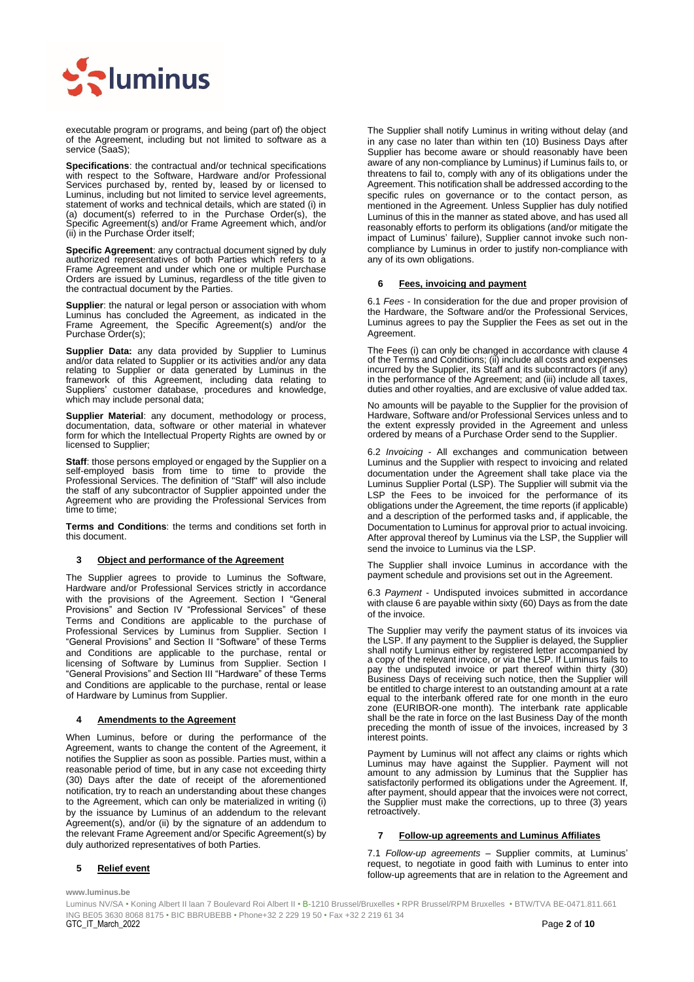

executable program or programs, and being (part of) the object of the Agreement, including but not limited to software as a service (SaaS);

**Specifications**: the contractual and/or technical specifications with respect to the Software, Hardware and/or Professional Services purchased by, rented by, leased by or licensed to Luminus, including but not limited to service level agreements, statement of works and technical details, which are stated (i) in (a) document(s) referred to in the Purchase Order(s), the Specific Agreement(s) and/or Frame Agreement which, and/or (ii) in the Purchase Order itself;

**Specific Agreement**: any contractual document signed by duly authorized representatives of both Parties which refers to a Frame Agreement and under which one or multiple Purchase Orders are issued by Luminus, regardless of the title given to the contractual document by the Parties.

**Supplier**: the natural or legal person or association with whom Luminus has concluded the Agreement, as indicated in the Frame Agreement, the Specific Agreement(s) and/or the Purchase Order(s);

**Supplier Data:** any data provided by Supplier to Luminus and/or data related to Supplier or its activities and/or any data relating to Supplier or data generated by Luminus in the framework of this Agreement, including data relating to Suppliers' customer database, procedures and knowledge, which may include personal data;

**Supplier Material**: any document, methodology or process, documentation, data, software or other material in whatever form for which the Intellectual Property Rights are owned by or licensed to Supplier;

**Staff**: those persons employed or engaged by the Supplier on a self-employed basis from time to time to provide the Professional Services. The definition of "Staff" will also include the staff of any subcontractor of Supplier appointed under the Agreement who are providing the Professional Services from time to time;

**Terms and Conditions**: the terms and conditions set forth in this document.

#### **3 Object and performance of the Agreement**

The Supplier agrees to provide to Luminus the Software, Hardware and/or Professional Services strictly in accordance with the provisions of the Agreement. Section [I](#page-0-0) "General Provisions" and Section [IV](#page-7-0) "Professional Services" of these Terms and Conditions are applicable to the purchase of Professional Services by Luminus from Supplier. Section [I](#page-0-0) "General Provisions" and Section [II](#page-5-0) "Software" of these Terms and Conditions are applicable to the purchase, rental or licensing of Software by Luminus from Supplier. Section [I](#page-0-0) "General Provisions" and Section [III](#page-6-0) "Hardware" of these Terms and Conditions are applicable to the purchase, rental or lease of Hardware by Luminus from Supplier.

#### <span id="page-1-0"></span>**4 Amendments to the Agreement**

When Luminus, before or during the performance of the Agreement, wants to change the content of the Agreement, it notifies the Supplier as soon as possible. Parties must, within a reasonable period of time, but in any case not exceeding thirty (30) Days after the date of receipt of the aforementioned notification, try to reach an understanding about these changes to the Agreement, which can only be materialized in writing (i) by the issuance by Luminus of an addendum to the relevant Agreement(s), and/or (ii) by the signature of an addendum to the relevant Frame Agreement and/or Specific Agreement(s) by duly authorized representatives of both Parties.

#### **5 Relief event**

**www.luminus.be**

The Supplier shall notify Luminus in writing without delay (and in any case no later than within ten (10) Business Days after Supplier has become aware or should reasonably have been aware of any non-compliance by Luminus) if Luminus fails to, or threatens to fail to, comply with any of its obligations under the Agreement. This notification shall be addressed according to the specific rules on governance or to the contact person, as mentioned in the Agreement. Unless Supplier has duly notified Luminus of this in the manner as stated above, and has used all reasonably efforts to perform its obligations (and/or mitigate the impact of Luminus' failure), Supplier cannot invoke such noncompliance by Luminus in order to justify non-compliance with any of its own obligations.

#### <span id="page-1-1"></span>**6 Fees, invoicing and payment**

6.1 *Fees* - In consideration for the due and proper provision of the Hardware, the Software and/or the Professional Services, Luminus agrees to pay the Supplier the Fees as set out in the Agreement.

The Fees (i) can only be changed in accordance with clause [4](#page-1-0) of the Terms and Conditions; (ii) include all costs and expenses incurred by the Supplier, its Staff and its subcontractors (if any) in the performance of the Agreement; and (iii) include all taxes, duties and other royalties, and are exclusive of value added tax.

No amounts will be payable to the Supplier for the provision of Hardware, Software and/or Professional Services unless and to the extent expressly provided in the Agreement and unless ordered by means of a Purchase Order send to the Supplier.

6.2 *Invoicing* - All exchanges and communication between Luminus and the Supplier with respect to invoicing and related documentation under the Agreement shall take place via the Luminus Supplier Portal (LSP). The Supplier will submit via the LSP the Fees to be invoiced for the performance of its obligations under the Agreement, the time reports (if applicable) and a description of the performed tasks and, if applicable, the Documentation to Luminus for approval prior to actual invoicing. After approval thereof by Luminus via the LSP, the Supplier will send the invoice to Luminus via the LSP.

The Supplier shall invoice Luminus in accordance with the payment schedule and provisions set out in the Agreement.

6.3 *Payment* - Undisputed invoices submitted in accordance with claus[e 6](#page-1-1) are payable within sixty (60) Days as from the date of the invoice.

The Supplier may verify the payment status of its invoices via the LSP. If any payment to the Supplier is delayed, the Supplier shall notify Luminus either by registered letter accompanied by a copy of the relevant invoice, or via the LSP. If Luminus fails to pay the undisputed invoice or part thereof within thirty (30) Business Days of receiving such notice, then the Supplier will be entitled to charge interest to an outstanding amount at a rate equal to the interbank offered rate for one month in the euro equal to the interbank offered rate for one month in the euro zone (EURIBOR-one month). The interbank rate applicable shall be the rate in force on the last Business Day of the month preceding the month of issue of the invoices, increased by 3 interest points.

Payment by Luminus will not affect any claims or rights which Luminus may have against the Supplier. Payment will not amount to any admission by Luminus that the Supplier has satisfactorily performed its obligations under the Agreement. If, after payment, should appear that the invoices were not correct, the Supplier must make the corrections, up to three (3) years retroactively.

# **7 Follow-up agreements and Luminus Affiliates**

7.1 *Follow-up agreements* – Supplier commits, at Luminus' request, to negotiate in good faith with Luminus to enter into follow-up agreements that are in relation to the Agreement and

 ING BE05 3630 8068 8175 • BIC BBRUBEBB • Phone+32 2 229 19 50 • Fax +32 2 219 61 34 GTC\_IT\_March\_2022 Page **2** of **10** Luminus NV/SA • Koning Albert II laan 7 Boulevard Roi Albert II • B-1210 Brussel/Bruxelles • RPR Brussel/RPM Bruxelles • BTW/TVA BE-0471.811.661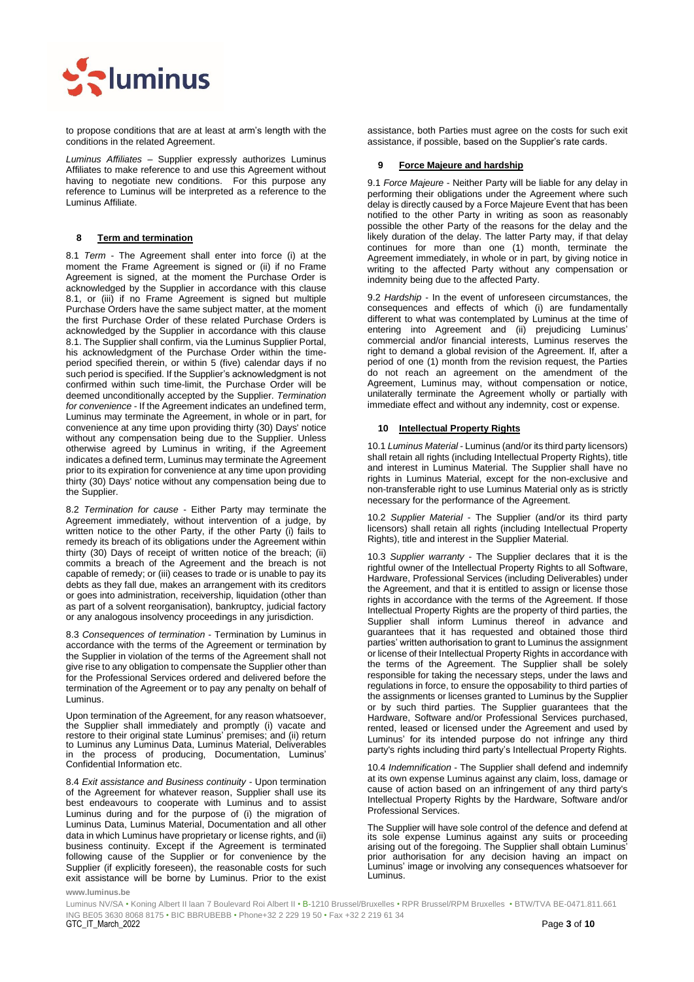

to propose conditions that are at least at arm's length with the conditions in the related Agreement.

*Luminus Affiliates* – Supplier expressly authorizes Luminus Affiliates to make reference to and use this Agreement without having to negotiate new conditions. For this purpose any reference to Luminus will be interpreted as a reference to the Luminus Affiliate.

# **8 Term and termination**

8.1 *Term* - The Agreement shall enter into force (i) at the moment the Frame Agreement is signed or (ii) if no Frame Agreement is signed, at the moment the Purchase Order is acknowledged by the Supplier in accordance with this clause 8.1, or (iii) if no Frame Agreement is signed but multiple Purchase Orders have the same subject matter, at the moment the first Purchase Order of these related Purchase Orders is acknowledged by the Supplier in accordance with this clause 8.1. The Supplier shall confirm, via the Luminus Supplier Portal, his acknowledgment of the Purchase Order within the timeperiod specified therein, or within 5 (five) calendar days if no such period is specified. If the Supplier's acknowledgment is not confirmed within such time-limit, the Purchase Order will be deemed unconditionally accepted by the Supplier. *Termination for convenience* - If the Agreement indicates an undefined term, Luminus may terminate the Agreement, in whole or in part, for convenience at any time upon providing thirty (30) Days' notice without any compensation being due to the Supplier. Unless otherwise agreed by Luminus in writing, if the Agreement indicates a defined term, Luminus may terminate the Agreement prior to its expiration for convenience at any time upon providing thirty (30) Days' notice without any compensation being due to the Supplier.

8.2 *Termination for cause* - Either Party may terminate the Agreement immediately, without intervention of a judge, by written notice to the other Party, if the other Party (i) fails to remedy its breach of its obligations under the Agreement within thirty (30) Days of receipt of written notice of the breach; (ii) commits a breach of the Agreement and the breach is not capable of remedy; or (iii) ceases to trade or is unable to pay its debts as they fall due, makes an arrangement with its creditors or goes into administration, receivership, liquidation (other than as part of a solvent reorganisation), bankruptcy, judicial factory or any analogous insolvency proceedings in any jurisdiction.

8.3 *Consequences of termination* - Termination by Luminus in accordance with the terms of the Agreement or termination by the Supplier in violation of the terms of the Agreement shall not give rise to any obligation to compensate the Supplier other than for the Professional Services ordered and delivered before the termination of the Agreement or to pay any penalty on behalf of Luminus.

Upon termination of the Agreement, for any reason whatsoever, the Supplier shall immediately and promptly (i) vacate and restore to their original state Luminus' premises; and (ii) return to Luminus any Luminus Data, Luminus Material, Deliverables in the process of producing, Documentation, Luminus' Confidential Information etc.

8.4 *Exit assistance and Business continuity* - Upon termination of the Agreement for whatever reason, Supplier shall use its best endeavours to cooperate with Luminus and to assist Luminus during and for the purpose of (i) the migration of Luminus Data, Luminus Material, Documentation and all other data in which Luminus have proprietary or license rights, and (ii) business continuity. Except if the Agreement is terminated following cause of the Supplier or for convenience by the Supplier (if explicitly foreseen), the reasonable costs for such exit assistance will be borne by Luminus. Prior to the exist assistance, both Parties must agree on the costs for such exit assistance, if possible, based on the Supplier's rate cards.

### **9 Force Majeure and hardship**

9.1 *Force Majeure* - Neither Party will be liable for any delay in performing their obligations under the Agreement where such delay is directly caused by a Force Majeure Event that has been notified to the other Party in writing as soon as reasonably possible the other Party of the reasons for the delay and the likely duration of the delay. The latter Party may, if that delay continues for more than one (1) month, terminate the Agreement immediately, in whole or in part, by giving notice in writing to the affected Party without any compensation or indemnity being due to the affected Party.

9.2 *Hardship* - In the event of unforeseen circumstances, the consequences and effects of which (i) are fundamentally different to what was contemplated by Luminus at the time of entering into Agreement and (ii) prejudicing Luminus' commercial and/or financial interests, Luminus reserves the right to demand a global revision of the Agreement. If, after a period of one (1) month from the revision request, the Parties do not reach an agreement on the amendment of the Agreement, Luminus may, without compensation or notice, unilaterally terminate the Agreement wholly or partially with immediate effect and without any indemnity, cost or expense.

# <span id="page-2-0"></span>**10 Intellectual Property Rights**

10.1 *Luminus Material* - Luminus (and/or its third party licensors) shall retain all rights (including Intellectual Property Rights), title and interest in Luminus Material. The Supplier shall have no rights in Luminus Material, except for the non-exclusive and non-transferable right to use Luminus Material only as is strictly necessary for the performance of the Agreement.

10.2 *Supplier Material* - The Supplier (and/or its third party licensors) shall retain all rights (including Intellectual Property Rights), title and interest in the Supplier Material.

10.3 *Supplier warranty* - The Supplier declares that it is the rightful owner of the Intellectual Property Rights to all Software, Hardware, Professional Services (including Deliverables) under the Agreement, and that it is entitled to assign or license those rights in accordance with the terms of the Agreement. If those Intellectual Property Rights are the property of third parties, the Supplier shall inform Luminus thereof in advance and guarantees that it has requested and obtained those third parties' written authorisation to grant to Luminus the assignment or license of their Intellectual Property Rights in accordance with the terms of the Agreement. The Supplier shall be solely responsible for taking the necessary steps, under the laws and regulations in force, to ensure the opposability to third parties of the assignments or licenses granted to Luminus by the Supplier or by such third parties. The Supplier guarantees that the Hardware, Software and/or Professional Services purchased, rented, leased or licensed under the Agreement and used by Luminus' for its intended purpose do not infringe any third party's rights including third party's Intellectual Property Rights.

10.4 *Indemnification* - The Supplier shall defend and indemnify at its own expense Luminus against any claim, loss, damage or cause of action based on an infringement of any third party's Intellectual Property Rights by the Hardware, Software and/or Professional Services.

The Supplier will have sole control of the defence and defend at its sole expense Luminus against any suits or proceeding arising out of the foregoing. The Supplier shall obtain Luminus' prior authorisation for any decision having an impact on Luminus' image or involving any consequences whatsoever for Luminus.

#### **www.luminus.be**

 ING BE05 3630 8068 8175 • BIC BBRUBEBB • Phone+32 2 229 19 50 • Fax +32 2 219 61 34 GTC\_IT\_March\_2022 Page **3** of **10** Luminus NV/SA • Koning Albert II laan 7 Boulevard Roi Albert II • B-1210 Brussel/Bruxelles • RPR Brussel/RPM Bruxelles • BTW/TVA BE-0471.811.661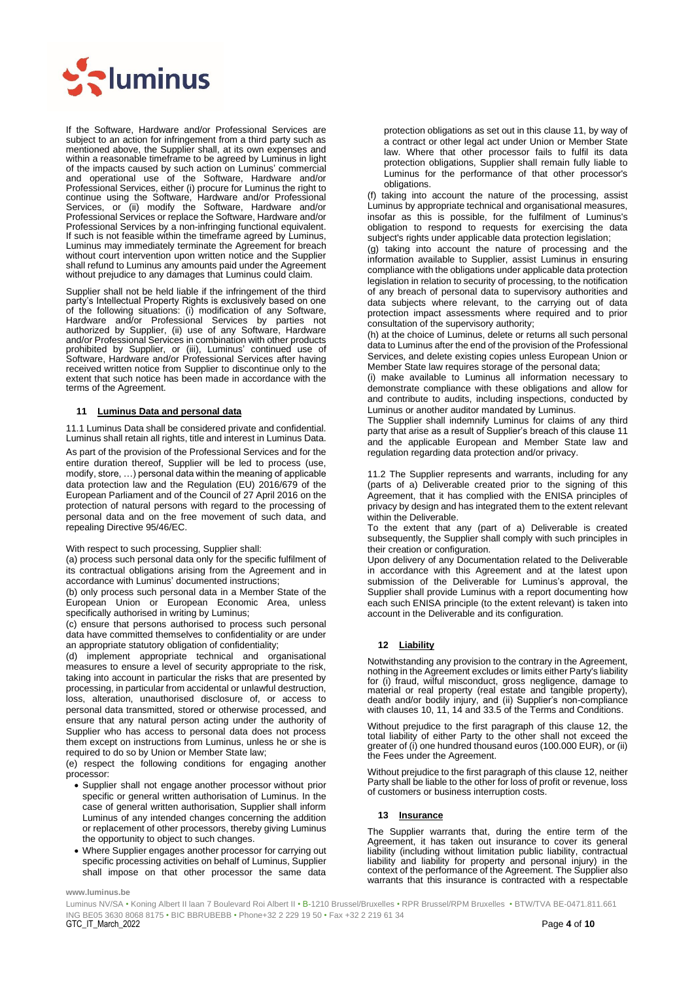

If the Software, Hardware and/or Professional Services are subject to an action for infringement from a third party such as mentioned above, the Supplier shall, at its own expenses and within a reasonable timeframe to be agreed by Luminus in light of the impacts caused by such action on Luminus' commercial and operational use of the Software, Hardware and/or Professional Services, either (i) procure for Luminus the right to continue using the Software, Hardware and/or Professional Services, or (ii) modify the Software, Hardware and/or Professional Services or replace the Software, Hardware and/or Professional Services by a non-infringing functional equivalent. If such is not feasible within the timeframe agreed by Luminus, Luminus may immediately terminate the Agreement for breach without court intervention upon written notice and the Supplier shall refund to Luminus any amounts paid under the Agreement without prejudice to any damages that Luminus could claim.

Supplier shall not be held liable if the infringement of the third party's Intellectual Property Rights is exclusively based on one of the following situations: (i) modification of any Software, Hardware and/or Professional Services by parties not authorized by Supplier, (ii) use of any Software, Hardware and/or Professional Services in combination with other products prohibited by Supplier, or (iii), Luminus' continued use of Software, Hardware and/or Professional Services after having received written notice from Supplier to discontinue only to the extent that such notice has been made in accordance with the terms of the Agreement.

#### <span id="page-3-0"></span>**11 Luminus Data and personal data**

11.1 Luminus Data shall be considered private and confidential. Luminus shall retain all rights, title and interest in Luminus Data.

As part of the provision of the Professional Services and for the entire duration thereof, Supplier will be led to process (use, modify, store, …) personal data within the meaning of applicable data protection law and the Regulation (EU) 2016/679 of the European Parliament and of the Council of 27 April 2016 on the protection of natural persons with regard to the processing of personal data and on the free movement of such data, and repealing Directive 95/46/EC.

With respect to such processing, Supplier shall:

(a) process such personal data only for the specific fulfilment of its contractual obligations arising from the Agreement and in accordance with Luminus' documented instructions;

(b) only process such personal data in a Member State of the European Union or European Economic Area, unless specifically authorised in writing by Luminus;

(c) ensure that persons authorised to process such personal data have committed themselves to confidentiality or are under an appropriate statutory obligation of confidentiality;

(d) implement appropriate technical and organisational measures to ensure a level of security appropriate to the risk, taking into account in particular the risks that are presented by processing, in particular from accidental or unlawful destruction, loss, alteration, unauthorised disclosure of, or access to personal data transmitted, stored or otherwise processed, and ensure that any natural person acting under the authority of Supplier who has access to personal data does not process them except on instructions from Luminus, unless he or she is required to do so by Union or Member State law;

(e) respect the following conditions for engaging another processor:

- Supplier shall not engage another processor without prior specific or general written authorisation of Luminus. In the case of general written authorisation, Supplier shall inform Luminus of any intended changes concerning the addition or replacement of other processors, thereby giving Luminus the opportunity to object to such changes.
- Where Supplier engages another processor for carrying out specific processing activities on behalf of Luminus, Supplier shall impose on that other processor the same data

protection obligations as set out in this clause 11, by way of a contract or other legal act under Union or Member State law. Where that other processor fails to fulfil its data protection obligations, Supplier shall remain fully liable to Luminus for the performance of that other processor's obligations.

(f) taking into account the nature of the processing, assist Luminus by appropriate technical and organisational measures, insofar as this is possible, for the fulfilment of Luminus's obligation to respond to requests for exercising the data subject's rights under applicable data protection legislation;

(g) taking into account the nature of processing and the information available to Supplier, assist Luminus in ensuring compliance with the obligations under applicable data protection legislation in relation to security of processing, to the notification of any breach of personal data to supervisory authorities and data subjects where relevant, to the carrying out of data protection impact assessments where required and to prior consultation of the supervisory authority;

(h) at the choice of Luminus, delete or returns all such personal data to Luminus after the end of the provision of the Professional Services, and delete existing copies unless European Union or Member State law requires storage of the personal data;

(i) make available to Luminus all information necessary to demonstrate compliance with these obligations and allow for and contribute to audits, including inspections, conducted by Luminus or another auditor mandated by Luminus.

The Supplier shall indemnify Luminus for claims of any third party that arise as a result of Supplier's breach of this clause [11](#page-3-0) and the applicable European and Member State law and regulation regarding data protection and/or privacy.

11.2 The Supplier represents and warrants, including for any (parts of a) Deliverable created prior to the signing of this Agreement, that it has complied with the ENISA principles of privacy by design and has integrated them to the extent relevant within the Deliverable.

To the extent that any (part of a) Deliverable is created subsequently, the Supplier shall comply with such principles in their creation or configuration.

Upon delivery of any Documentation related to the Deliverable in accordance with this Agreement and at the latest upon submission of the Deliverable for Luminus's approval, the Supplier shall provide Luminus with a report documenting how each such ENISA principle (to the extent relevant) is taken into account in the Deliverable and its configuration.

# <span id="page-3-1"></span>**12 Liability**

Notwithstanding any provision to the contrary in the Agreement, nothing in the Agreement excludes or limits either Party's liability for (i) fraud, wilful misconduct, gross negligence, damage to material or real property (real estate and tangible property), death and/or bodily injury, and (ii) Supplier's non-compliance with clauses 10[, 11,](#page-3-0) [14](#page-4-0) and 33.5 of the Terms and Conditions.

Without prejudice to the first paragraph of this clause [12,](#page-3-1) the total liability of either Party to the other shall not exceed the greater of (i) one hundred thousand euros (100.000 EUR), or (ii) the Fees under the Agreement.

Without prejudice to the first paragraph of this clause [12,](#page-3-1) neither Party shall be liable to the other for loss of profit or revenue, loss of customers or business interruption costs.

### **13 Insurance**

The Supplier warrants that, during the entire term of the Agreement, it has taken out insurance to cover its general liability (including without limitation public liability, contractual liability and liability for property and personal injury) in the context of the performance of the Agreement. The Supplier also warrants that this insurance is contracted with a respectable

**www.luminus.be**

 ING BE05 3630 8068 8175 • BIC BBRUBEBB • Phone+32 2 229 19 50 • Fax +32 2 219 61 34 GTC\_IT\_March\_2022 Page **4** of **10** Luminus NV/SA • Koning Albert II laan 7 Boulevard Roi Albert II • B-1210 Brussel/Bruxelles • RPR Brussel/RPM Bruxelles • BTW/TVA BE-0471.811.661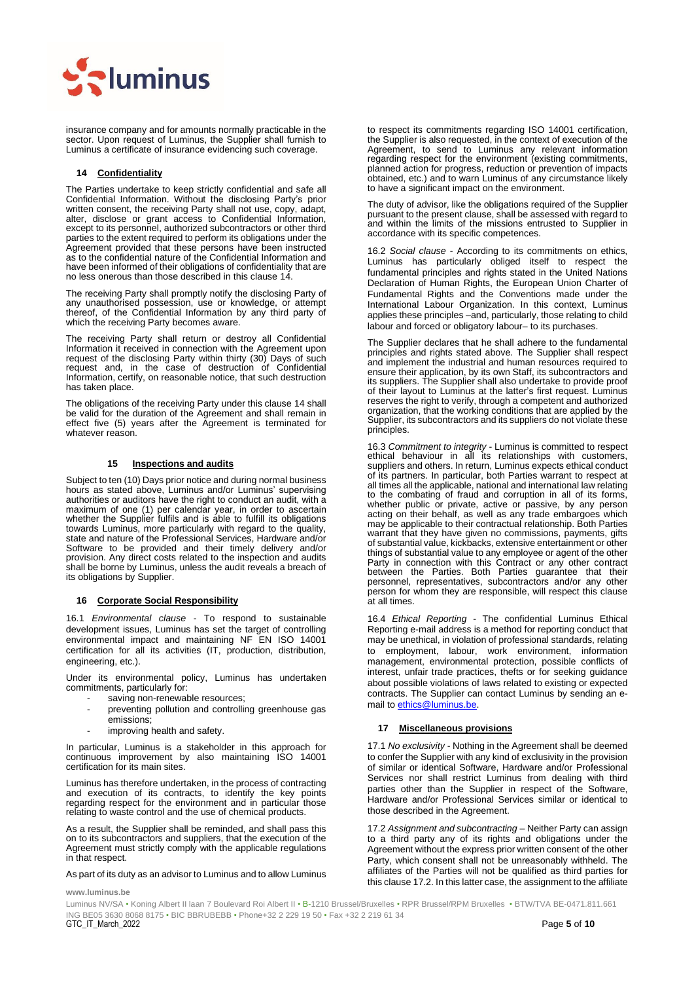

insurance company and for amounts normally practicable in the sector. Upon request of Luminus, the Supplier shall furnish to Luminus a certificate of insurance evidencing such coverage.

#### <span id="page-4-0"></span>**14 Confidentiality**

The Parties undertake to keep strictly confidential and safe all Confidential Information. Without the disclosing Party's prior written consent, the receiving Party shall not use, copy, adapt, alter, disclose or grant access to Confidential Information, except to its personnel, authorized subcontractors or other third parties to the extent required to perform its obligations under the Agreement provided that these persons have been instructed as to the confidential nature of the Confidential Information and have been informed of their obligations of confidentiality that are no less onerous than those described in this clause [14.](#page-4-0) 

The receiving Party shall promptly notify the disclosing Party of any unauthorised possession, use or knowledge, or attempt thereof, of the Confidential Information by any third party of which the receiving Party becomes aware.

The receiving Party shall return or destroy all Confidential Information it received in connection with the Agreement upon request of the disclosing Party within thirty (30) Days of such request and, in the case of destruction of Confidential Information, certify, on reasonable notice, that such destruction has taken place.

The obligations of the receiving Party under this claus[e 14](#page-4-0) shall be valid for the duration of the Agreement and shall remain in effect five (5) years after the Agreement is terminated for whatever reason.

#### **15 Inspections and audits**

Subject to ten (10) Days prior notice and during normal business hours as stated above, Luminus and/or Luminus' supervising authorities or auditors have the right to conduct an audit, with a maximum of one (1) per calendar year, in order to ascertain whether the Supplier fulfils and is able to fulfill its obligations towards Luminus, more particularly with regard to the quality, state and nature of the Professional Services, Hardware and/or Software to be provided and their timely delivery and/or provision. Any direct costs related to the inspection and audits shall be borne by Luminus, unless the audit reveals a breach of its obligations by Supplier.

### **16 Corporate Social Responsibility**

16.1 *Environmental clause* - To respond to sustainable development issues, Luminus has set the target of controlling environmental impact and maintaining NF EN ISO 14001 certification for all its activities (IT, production, distribution, engineering, etc.).

Under its environmental policy, Luminus has undertaken commitments, particularly for:

- saving non-renewable resources;
- preventing pollution and controlling greenhouse gas emissions;
- improving health and safety.

In particular, Luminus is a stakeholder in this approach for continuous improvement by also maintaining ISO 14001 certification for its main sites.

Luminus has therefore undertaken, in the process of contracting and execution of its contracts, to identify the key points regarding respect for the environment and in particular those relating to waste control and the use of chemical products.

As a result, the Supplier shall be reminded, and shall pass this on to its subcontractors and suppliers, that the execution of the Agreement must strictly comply with the applicable regulations in that respect.

As part of its duty as an advisor to Luminus and to allow Luminus

#### **www.luminus.be**

to respect its commitments regarding ISO 14001 certification, the Supplier is also requested, in the context of execution of the Agreement, to send to Luminus any relevant information regarding respect for the environment (existing commitments, planned action for progress, reduction or prevention of impacts obtained, etc.) and to warn Luminus of any circumstance likely to have a significant impact on the environment.

The duty of advisor, like the obligations required of the Supplier pursuant to the present clause, shall be assessed with regard to and within the limits of the missions entrusted to Supplier in accordance with its specific competences.

16.2 *Social clause* - According to its commitments on ethics, Luminus has particularly obliged itself to respect the fundamental principles and rights stated in the United Nations Declaration of Human Rights, the European Union Charter of Fundamental Rights and the Conventions made under the International Labour Organization. In this context, Luminus applies these principles –and, particularly, those relating to child labour and forced or obligatory labour– to its purchases.

The Supplier declares that he shall adhere to the fundamental principles and rights stated above. The Supplier shall respect and implement the industrial and human resources required to ensure their application, by its own Staff, its subcontractors and its suppliers. The Supplier shall also undertake to provide proof of their layout to Luminus at the latter's first request. Luminus reserves the right to verify, through a competent and authorized organization, that the working conditions that are applied by the Supplier, its subcontractors and its suppliers do not violate these principles.

16.3 *Commitment to integrity* - Luminus is committed to respect ethical behaviour in all its relationships with customers, suppliers and others. In return, Luminus expects ethical conduct of its partners. In particular, both Parties warrant to respect at all times all the applicable, national and international law relating to the combating of fraud and corruption in all of its forms, whether public or private, active or passive, by any person acting on their behalf, as well as any trade embargoes which may be applicable to their contractual relationship. Both Parties warrant that they have given no commissions, payments, gifts of substantial value, kickbacks, extensive entertainment or other things of substantial value to any employee or agent of the other Party in connection with this Contract or any other contract between the Parties. Both Parties guarantee that their personnel, representatives, subcontractors and/or any other person for whom they are responsible, will respect this clause at all times.

16.4 *Ethical Reporting* - The confidential Luminus Ethical Reporting e-mail address is a method for reporting conduct that may be unethical, in violation of professional standards, relating to employment, labour, work environment, information management, environmental protection, possible conflicts of interest, unfair trade practices, thefts or for seeking guidance about possible violations of laws related to existing or expected contracts. The Supplier can contact Luminus by sending an email t[o ethics@luminus.be.](mailto:ethics@edfluminus.be)

#### **17 Miscellaneous provisions**

17.1 *No exclusivity* - Nothing in the Agreement shall be deemed to confer the Supplier with any kind of exclusivity in the provision of similar or identical Software, Hardware and/or Professional Services nor shall restrict Luminus from dealing with third parties other than the Supplier in respect of the Software, Hardware and/or Professional Services similar or identical to those described in the Agreement.

17.2 *Assignment and subcontracting* – Neither Party can assign to a third party any of its rights and obligations under the Agreement without the express prior written consent of the other Party, which consent shall not be unreasonably withheld. The affiliates of the Parties will not be qualified as third parties for this clause 17.2. In this latter case, the assignment to the affiliate

 ING BE05 3630 8068 8175 • BIC BBRUBEBB • Phone+32 2 229 19 50 • Fax +32 2 219 61 34 GTC\_IT\_March\_2022 Page **5** of **10** Luminus NV/SA • Koning Albert II laan 7 Boulevard Roi Albert II • B-1210 Brussel/Bruxelles • RPR Brussel/RPM Bruxelles • BTW/TVA BE-0471.811.661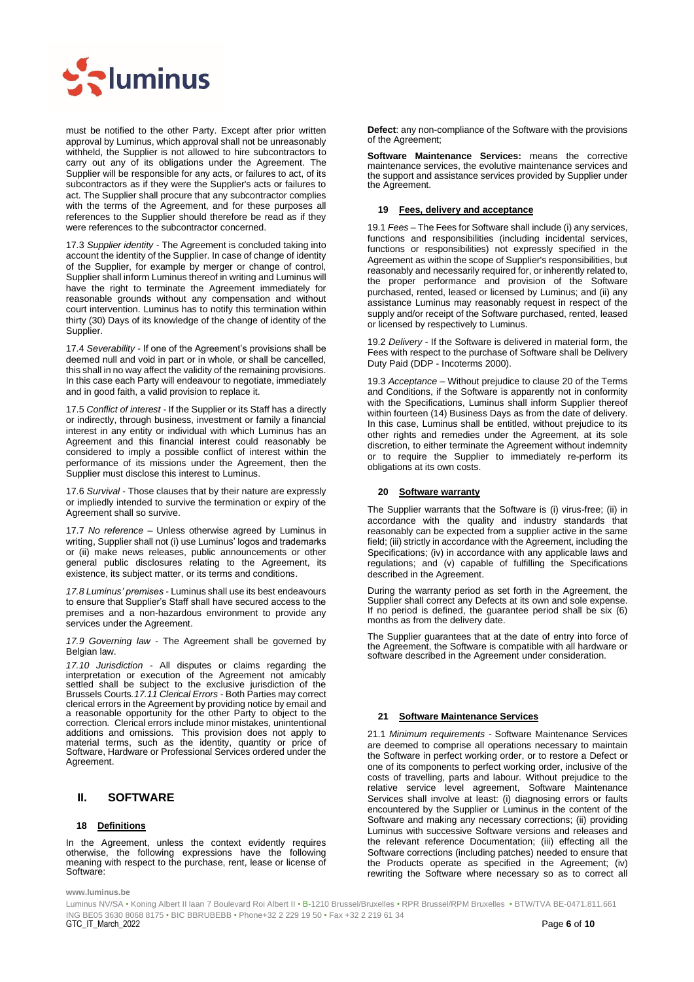

must be notified to the other Party. Except after prior written approval by Luminus, which approval shall not be unreasonably withheld, the Supplier is not allowed to hire subcontractors to carry out any of its obligations under the Agreement. The Supplier will be responsible for any acts, or failures to act, of its subcontractors as if they were the Supplier's acts or failures to act. The Supplier shall procure that any subcontractor complies with the terms of the Agreement, and for these purposes all references to the Supplier should therefore be read as if they were references to the subcontractor concerned.

17.3 *Supplier identity* - The Agreement is concluded taking into account the identity of the Supplier. In case of change of identity of the Supplier, for example by merger or change of control, Supplier shall inform Luminus thereof in writing and Luminus will have the right to terminate the Agreement immediately for reasonable grounds without any compensation and without court intervention. Luminus has to notify this termination within thirty (30) Days of its knowledge of the change of identity of the Supplier.

17.4 *Severability* - If one of the Agreement's provisions shall be deemed null and void in part or in whole, or shall be cancelled, this shall in no way affect the validity of the remaining provisions. In this case each Party will endeavour to negotiate, immediately and in good faith, a valid provision to replace it.

17.5 *Conflict of interest* - If the Supplier or its Staff has a directly or indirectly, through business, investment or family a financial interest in any entity or individual with which Luminus has an Agreement and this financial interest could reasonably be considered to imply a possible conflict of interest within the performance of its missions under the Agreement, then the Supplier must disclose this interest to Luminus.

17.6 *Survival* - Those clauses that by their nature are expressly or impliedly intended to survive the termination or expiry of the Agreement shall so survive.

17.7 *No reference* – Unless otherwise agreed by Luminus in writing, Supplier shall not (i) use Luminus' logos and trademarks or (ii) make news releases, public announcements or other general public disclosures relating to the Agreement, its existence, its subject matter, or its terms and conditions.

*17.8 Luminus' premises* - Luminus shall use its best endeavours to ensure that Supplier's Staff shall have secured access to the premises and a non-hazardous environment to provide any services under the Agreement.

*17.9 Governing law* - The Agreement shall be governed by Belgian law.

*17.10 Jurisdiction* - All disputes or claims regarding the interpretation or execution of the Agreement not amicably settled shall be subject to the exclusive jurisdiction of the Brussels Courts*.17.11 Clerical Errors* - Both Parties may correct clerical errors in the Agreement by providing notice by email and a reasonable opportunity for the other Party to object to the correction. Clerical errors include minor mistakes, unintentional additions and omissions. This provision does not apply to material terms, such as the identity, quantity or price of Software, Hardware or Professional Services ordered under the Agreement.

# <span id="page-5-0"></span>**II. SOFTWARE**

### **18 Definitions**

In the Agreement, unless the context evidently requires otherwise, the following expressions have the following meaning with respect to the purchase, rent, lease or license of Software:

**Defect**: any non-compliance of the Software with the provisions of the Agreement;

**Software Maintenance Services:** means the corrective maintenance services, the evolutive maintenance services and the support and assistance services provided by Supplier under the Agreement.

#### **19 Fees, delivery and acceptance**

19.1 *Fees* – The Fees for Software shall include (i) any services, functions and responsibilities (including incidental services, functions or responsibilities) not expressly specified in the Agreement as within the scope of Supplier's responsibilities, but reasonably and necessarily required for, or inherently related to, the proper performance and provision of the Software purchased, rented, leased or licensed by Luminus; and (ii) any assistance Luminus may reasonably request in respect of the supply and/or receipt of the Software purchased, rented, leased or licensed by respectively to Luminus.

19.2 *Delivery* - If the Software is delivered in material form, the Fees with respect to the purchase of Software shall be Delivery Duty Paid (DDP - Incoterms 2000).

19.3 *Acceptance* – Without prejudice to claus[e 20](#page-5-1) of the Terms and Conditions, if the Software is apparently not in conformity with the Specifications, Luminus shall inform Supplier thereof within fourteen (14) Business Days as from the date of delivery. In this case, Luminus shall be entitled, without prejudice to its other rights and remedies under the Agreement, at its sole discretion, to either terminate the Agreement without indemnity or to require the Supplier to immediately re-perform its obligations at its own costs.

#### <span id="page-5-1"></span>**20 Software warranty**

The Supplier warrants that the Software is (i) virus-free; (ii) in accordance with the quality and industry standards that reasonably can be expected from a supplier active in the same field; (iii) strictly in accordance with the Agreement, including the Specifications; (iv) in accordance with any applicable laws and regulations; and (v) capable of fulfilling the Specifications described in the Agreement.

During the warranty period as set forth in the Agreement, the Supplier shall correct any Defects at its own and sole expense. If no period is defined, the guarantee period shall be six (6) months as from the delivery date.

The Supplier guarantees that at the date of entry into force of the Agreement, the Software is compatible with all hardware or software described in the Agreement under consideration.

### **21 Software Maintenance Services**

21.1 *Minimum requirements -* Software Maintenance Services are deemed to comprise all operations necessary to maintain the Software in perfect working order, or to restore a Defect or one of its components to perfect working order, inclusive of the costs of travelling, parts and labour. Without prejudice to the relative service level agreement, Software Maintenance Services shall involve at least: (i) diagnosing errors or faults encountered by the Supplier or Luminus in the content of the Software and making any necessary corrections; (ii) providing Luminus with successive Software versions and releases and the relevant reference Documentation; (iii) effecting all the Software corrections (including patches) needed to ensure that the Products operate as specified in the Agreement; (iv) rewriting the Software where necessary so as to correct all

**www.luminus.be**

 ING BE05 3630 8068 8175 • BIC BBRUBEBB • Phone+32 2 229 19 50 • Fax +32 2 219 61 34 GTC\_IT\_March\_2022 Page **6** of **10** Luminus NV/SA • Koning Albert II laan 7 Boulevard Roi Albert II • B-1210 Brussel/Bruxelles • RPR Brussel/RPM Bruxelles • BTW/TVA BE-0471.811.661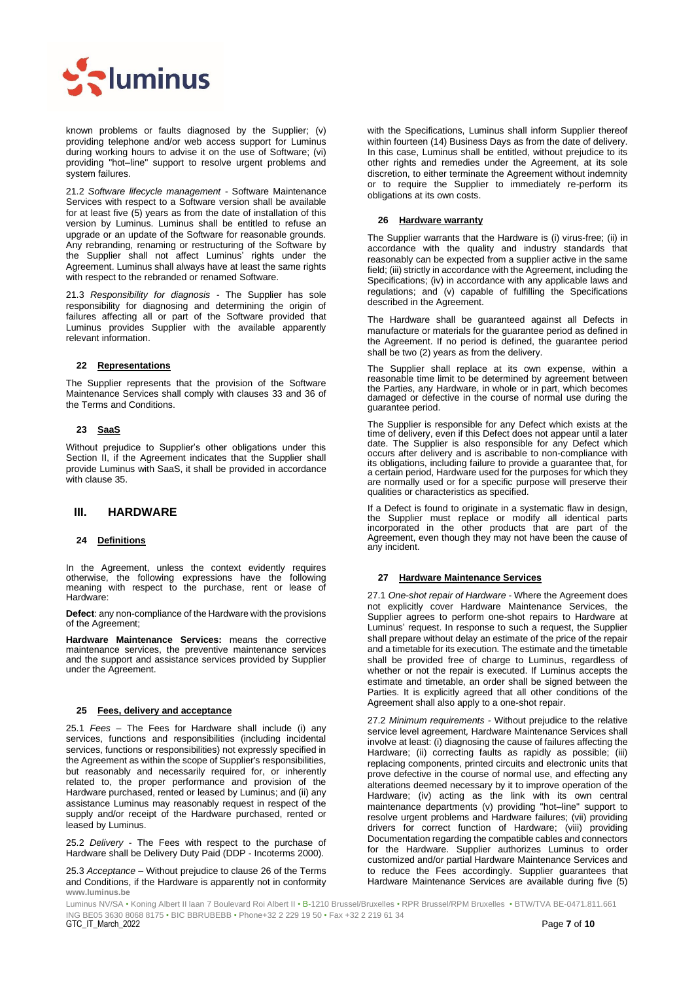

known problems or faults diagnosed by the Supplier; (v) providing telephone and/or web access support for Luminus during working hours to advise it on the use of Software; (vi) providing "hot–line" support to resolve urgent problems and system failures.

21.2 *Software lifecycle management* - Software Maintenance Services with respect to a Software version shall be available for at least five  $(5)$  years as from the date of installation of this version by Luminus. Luminus shall be entitled to refuse an upgrade or an update of the Software for reasonable grounds. Any rebranding, renaming or restructuring of the Software by the Supplier shall not affect Luminus' rights under the Agreement. Luminus shall always have at least the same rights with respect to the rebranded or renamed Software.

21.3 *Responsibility for diagnosis -* The Supplier has sole responsibility for diagnosing and determining the origin of failures affecting all or part of the Software provided that Luminus provides Supplier with the available apparently relevant information.

### **22 Representations**

The Supplier represents that the provision of the Software Maintenance Services shall comply with clauses [33](#page-7-1) and 36 of the Terms and Conditions.

# **23 SaaS**

Without prejudice to Supplier's other obligations under this Section [II,](#page-5-0) if the Agreement indicates that the Supplier shall provide Luminus with SaaS, it shall be provided in accordance with claus[e 35.](#page-8-0)

# <span id="page-6-0"></span>**III. HARDWARE**

# **24 Definitions**

In the Agreement, unless the context evidently requires otherwise, the following expressions have the following meaning with respect to the purchase, rent or lease of Hardware:

**Defect**: any non-compliance of the Hardware with the provisions of the Agreement;

**Hardware Maintenance Services:** means the corrective maintenance services, the preventive maintenance services and the support and assistance services provided by Supplier under the Agreement.

#### **25 Fees, delivery and acceptance**

25.1 *Fees* – The Fees for Hardware shall include (i) any services, functions and responsibilities (including incidental services, functions or responsibilities) not expressly specified in the Agreement as within the scope of Supplier's responsibilities, but reasonably and necessarily required for, or inherently related to, the proper performance and provision of the Hardware purchased, rented or leased by Luminus; and (ii) any assistance Luminus may reasonably request in respect of the supply and/or receipt of the Hardware purchased, rented or leased by Luminus.

25.2 *Delivery* - The Fees with respect to the purchase of Hardware shall be Delivery Duty Paid (DDP - Incoterms 2000).

**www.luminus.be** 25.3 *Acceptance* – Without prejudice to clause [26](#page-6-1) of the Terms and Conditions, if the Hardware is apparently not in conformity

with the Specifications, Luminus shall inform Supplier thereof within fourteen (14) Business Days as from the date of delivery. In this case, Luminus shall be entitled, without prejudice to its other rights and remedies under the Agreement, at its sole discretion, to either terminate the Agreement without indemnity or to require the Supplier to immediately re-perform its obligations at its own costs.

#### <span id="page-6-1"></span>**26 Hardware warranty**

The Supplier warrants that the Hardware is (i) virus-free; (ii) in accordance with the quality and industry standards that reasonably can be expected from a supplier active in the same field; (iii) strictly in accordance with the Agreement, including the Specifications; (iv) in accordance with any applicable laws and regulations; and (v) capable of fulfilling the Specifications described in the Agreement.

The Hardware shall be guaranteed against all Defects in manufacture or materials for the guarantee period as defined in the Agreement. If no period is defined, the guarantee period shall be two (2) years as from the delivery.

The Supplier shall replace at its own expense, within a reasonable time limit to be determined by agreement between the Parties, any Hardware, in whole or in part, which becomes damaged or defective in the course of normal use during the guarantee period.

The Supplier is responsible for any Defect which exists at the time of delivery, even if this Defect does not appear until a later date. The Supplier is also responsible for any Defect which occurs after delivery and is ascribable to non-compliance with its obligations, including failure to provide a guarantee that, for a certain period, Hardware used for the purposes for which they are normally used or for a specific purpose will preserve their qualities or characteristics as specified.

If a Defect is found to originate in a systematic flaw in design, the Supplier must replace or modify all identical parts incorporated in the other products that are part of the Agreement, even though they may not have been the cause of any incident.

#### **27 Hardware Maintenance Services**

27.1 *One-shot repair of Hardware -* Where the Agreement does not explicitly cover Hardware Maintenance Services, the Supplier agrees to perform one-shot repairs to Hardware at Luminus' request. In response to such a request, the Supplier shall prepare without delay an estimate of the price of the repair and a timetable for its execution. The estimate and the timetable shall be provided free of charge to Luminus, regardless of whether or not the repair is executed. If Luminus accepts the estimate and timetable, an order shall be signed between the Parties. It is explicitly agreed that all other conditions of the Agreement shall also apply to a one-shot repair.

27.2 *Minimum requirements -* Without prejudice to the relative service level agreement*,* Hardware Maintenance Services shall involve at least: (i) diagnosing the cause of failures affecting the Hardware; (ii) correcting faults as rapidly as possible; (iii) replacing components, printed circuits and electronic units that prove defective in the course of normal use, and effecting any alterations deemed necessary by it to improve operation of the Hardware; (iv) acting as the link with its own central maintenance departments (v) providing "hot–line" support to resolve urgent problems and Hardware failures; (vii) providing drivers for correct function of Hardware; (viii) providing Documentation regarding the compatible cables and connectors for the Hardware. Supplier authorizes Luminus to order customized and/or partial Hardware Maintenance Services and to reduce the Fees accordingly. Supplier guarantees that Hardware Maintenance Services are available during five (5)

 ING BE05 3630 8068 8175 • BIC BBRUBEBB • Phone+32 2 229 19 50 • Fax +32 2 219 61 34 GTC\_IT\_March\_2022 Page **7** of **10** Luminus NV/SA • Koning Albert II laan 7 Boulevard Roi Albert II • B-1210 Brussel/Bruxelles • RPR Brussel/RPM Bruxelles • BTW/TVA BE-0471.811.661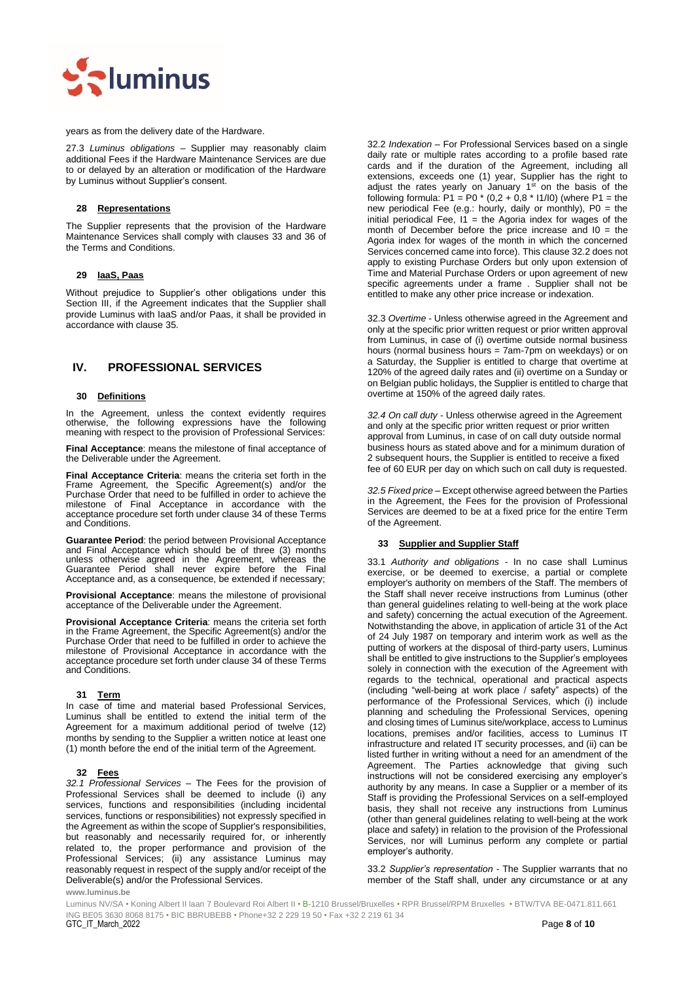

years as from the delivery date of the Hardware.

27.3 *Luminus obligations –* Supplier may reasonably claim additional Fees if the Hardware Maintenance Services are due to or delayed by an alteration or modification of the Hardware by Luminus without Supplier's consent.

### **28 Representations**

The Supplier represents that the provision of the Hardware Maintenance Services shall comply with clauses [33](#page-7-1) and 36 of the Terms and Conditions.

# **29 IaaS, Paas**

Without prejudice to Supplier's other obligations under this Section [III,](#page-6-0) if the Agreement indicates that the Supplier shall provide Luminus with IaaS and/or Paas, it shall be provided in accordance with clause 35.

# <span id="page-7-0"></span>**IV. PROFESSIONAL SERVICES**

#### **30 Definitions**

In the Agreement, unless the context evidently requires otherwise, the following expressions have the following meaning with respect to the provision of Professional Services:

**Final Acceptance**: means the milestone of final acceptance of the Deliverable under the Agreement.

**Final Acceptance Criteria**: means the criteria set forth in the Frame Agreement, the Specific Agreement(s) and/or the Purchase Order that need to be fulfilled in order to achieve the milestone of Final Acceptance in accordance with the acceptance procedure set forth under clause [34](#page-8-1) of these Terms and Conditions.

**Guarantee Period**: the period between Provisional Acceptance and Final Acceptance which should be of three (3) months unless otherwise agreed in the Agreement, whereas the Guarantee Period shall never expire before the Final Acceptance and, as a consequence, be extended if necessary;

**Provisional Acceptance**: means the milestone of provisional acceptance of the Deliverable under the Agreement.

**Provisional Acceptance Criteria**: means the criteria set forth in the Frame Agreement, the Specific Agreement(s) and/or the Purchase Order that need to be fulfilled in order to achieve the milestone of Provisional Acceptance in accordance with the acceptance procedure set forth under clause [34](#page-8-1) of these Terms and Conditions.

#### **31 Term**

In case of time and material based Professional Services, Luminus shall be entitled to extend the initial term of the Agreement for a maximum additional period of twelve (12) months by sending to the Supplier a written notice at least one (1) month before the end of the initial term of the Agreement.

#### **32 Fees**

*32.1 Professional Services* – The Fees for the provision of Professional Services shall be deemed to include (i) any services, functions and responsibilities (including incidental services, functions or responsibilities) not expressly specified in the Agreement as within the scope of Supplier's responsibilities, but reasonably and necessarily required for, or inherently related to, the proper performance and provision of the Professional Services; (ii) any assistance Luminus may reasonably request in respect of the supply and/or receipt of the Deliverable(s) and/or the Professional Services.

32.2 *Indexation* – For Professional Services based on a single daily rate or multiple rates according to a profile based rate cards and if the duration of the Agreement, including all extensions, exceeds one (1) year, Supplier has the right to adjust the rates yearly on January  $1<sup>st</sup>$  on the basis of the following formula: P1 = P0  $*(0,2 + 0.8 * 11/10)$  (where P1 = the new periodical Fee (e.g.: hourly, daily or monthly), P0 = the initial periodical Fee,  $11$  = the Agoria index for wages of the month of December before the price increase and I0 = the Agoria index for wages of the month in which the concerned Services concerned came into force). This clause 32.2 does not apply to existing Purchase Orders but only upon extension of Time and Material Purchase Orders or upon agreement of new specific agreements under a frame . Supplier shall not be entitled to make any other price increase or indexation.

32.3 *Overtime* - Unless otherwise agreed in the Agreement and only at the specific prior written request or prior written approval from Luminus, in case of (i) overtime outside normal business hours (normal business hours = 7am-7pm on weekdays) or on a Saturday, the Supplier is entitled to charge that overtime at 120% of the agreed daily rates and (ii) overtime on a Sunday or on Belgian public holidays, the Supplier is entitled to charge that overtime at 150% of the agreed daily rates.

*32.4 On call duty* - Unless otherwise agreed in the Agreement and only at the specific prior written request or prior written approval from Luminus, in case of on call duty outside normal business hours as stated above and for a minimum duration of 2 subsequent hours, the Supplier is entitled to receive a fixed fee of 60 EUR per day on which such on call duty is requested.

*32.5 Fixed price* – Except otherwise agreed between the Parties in the Agreement, the Fees for the provision of Professional Services are deemed to be at a fixed price for the entire Term of the Agreement.

#### <span id="page-7-1"></span>**33 Supplier and Supplier Staff**

33.1 *Authority and obligations* - In no case shall Luminus exercise, or be deemed to exercise, a partial or complete employer's authority on members of the Staff. The members of the Staff shall never receive instructions from Luminus (other than general guidelines relating to well-being at the work place and safety) concerning the actual execution of the Agreement. Notwithstanding the above, in application of article 31 of the Act of 24 July 1987 on temporary and interim work as well as the putting of workers at the disposal of third-party users, Luminus shall be entitled to give instructions to the Supplier's employees solely in connection with the execution of the Agreement with regards to the technical, operational and practical aspects (including "well-being at work place / safety" aspects) of the performance of the Professional Services, which (i) include planning and scheduling the Professional Services, opening and closing times of Luminus site/workplace, access to Luminus locations, premises and/or facilities, access to Luminus IT infrastructure and related IT security processes, and (ii) can be listed further in writing without a need for an amendment of the Agreement. The Parties acknowledge that giving such instructions will not be considered exercising any employer's authority by any means. In case a Supplier or a member of its Staff is providing the Professional Services on a self-employed basis, they shall not receive any instructions from Luminus (other than general guidelines relating to well-being at the work place and safety) in relation to the provision of the Professional Services, nor will Luminus perform any complete or partial employer's authority.

33.2 *Supplier's representation* - The Supplier warrants that no member of the Staff shall, under any circumstance or at any

**www.luminus.be**

 ING BE05 3630 8068 8175 • BIC BBRUBEBB • Phone+32 2 229 19 50 • Fax +32 2 219 61 34 Luminus NV/SA • Koning Albert II laan 7 Boulevard Roi Albert II • B-1210 Brussel/Bruxelles • RPR Brussel/RPM Bruxelles • BTW/TVA BE-0471.811.661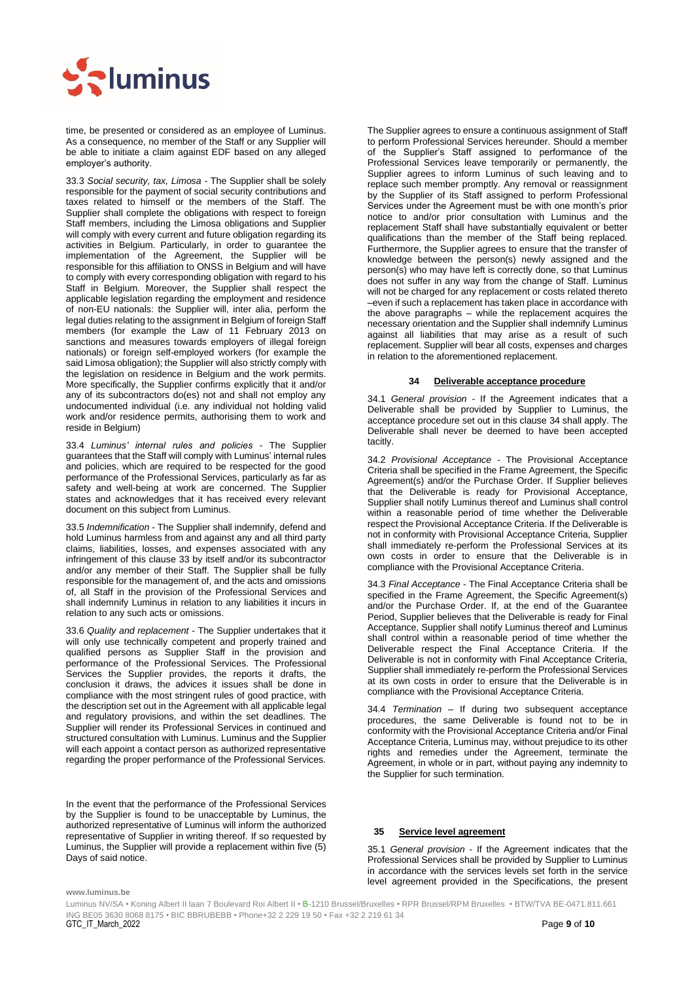

time, be presented or considered as an employee of Luminus. As a consequence, no member of the Staff or any Supplier will be able to initiate a claim against EDF based on any alleged employer's authority.

33.3 *Social security, tax, Limosa* - The Supplier shall be solely responsible for the payment of social security contributions and taxes related to himself or the members of the Staff. The Supplier shall complete the obligations with respect to foreign Staff members, including the Limosa obligations and Supplier will comply with every current and future obligation regarding its activities in Belgium. Particularly, in order to guarantee the implementation of the Agreement, the Supplier will be responsible for this affiliation to ONSS in Belgium and will have to comply with every corresponding obligation with regard to his Staff in Belgium. Moreover, the Supplier shall respect the applicable legislation regarding the employment and residence of non-EU nationals: the Supplier will, inter alia, perform the legal duties relating to the assignment in Belgium of foreign Staff members (for example the Law of 11 February 2013 on sanctions and measures towards employers of illegal foreign nationals) or foreign self-employed workers (for example the said Limosa obligation); the Supplier will also strictly comply with the legislation on residence in Belgium and the work permits. More specifically, the Supplier confirms explicitly that it and/or any of its subcontractors do(es) not and shall not employ any undocumented individual (i.e. any individual not holding valid work and/or residence permits, authorising them to work and reside in Belgium)

33.4 *Luminus' internal rules and policies* - The Supplier guarantees that the Staff will comply with Luminus' internal rules and policies, which are required to be respected for the good performance of the Professional Services, particularly as far as safety and well-being at work are concerned. The Supplier states and acknowledges that it has received every relevant document on this subject from Luminus.

33.5 *Indemnification* - The Supplier shall indemnify, defend and hold Luminus harmless from and against any and all third party claims, liabilities, losses, and expenses associated with any infringement of this clause 33 by itself and/or its subcontractor and/or any member of their Staff. The Supplier shall be fully responsible for the management of, and the acts and omissions of, all Staff in the provision of the Professional Services and shall indemnify Luminus in relation to any liabilities it incurs in relation to any such acts or omissions.

33.6 *Quality and replacement* - The Supplier undertakes that it will only use technically competent and properly trained and qualified persons as Supplier Staff in the provision and performance of the Professional Services. The Professional Services the Supplier provides, the reports it drafts, the conclusion it draws, the advices it issues shall be done in compliance with the most stringent rules of good practice, with the description set out in the Agreement with all applicable legal and regulatory provisions, and within the set deadlines. The Supplier will render its Professional Services in continued and structured consultation with Luminus. Luminus and the Supplier will each appoint a contact person as authorized representative regarding the proper performance of the Professional Services.

In the event that the performance of the Professional Services by the Supplier is found to be unacceptable by Luminus, the authorized representative of Luminus will inform the authorized representative of Supplier in writing thereof. If so requested by Luminus, the Supplier will provide a replacement within five (5) Days of said notice.

The Supplier agrees to ensure a continuous assignment of Staff to perform Professional Services hereunder. Should a member of the Supplier's Staff assigned to performance of the Professional Services leave temporarily or permanently, the Supplier agrees to inform Luminus of such leaving and to replace such member promptly. Any removal or reassignment by the Supplier of its Staff assigned to perform Professional Services under the Agreement must be with one month's prior notice to and/or prior consultation with Luminus and the replacement Staff shall have substantially equivalent or better qualifications than the member of the Staff being replaced. Furthermore, the Supplier agrees to ensure that the transfer of knowledge between the person(s) newly assigned and the person(s) who may have left is correctly done, so that Luminus does not suffer in any way from the change of Staff. Luminus will not be charged for any replacement or costs related thereto –even if such a replacement has taken place in accordance with the above paragraphs – while the replacement acquires the necessary orientation and the Supplier shall indemnify Luminus against all liabilities that may arise as a result of such replacement. Supplier will bear all costs, expenses and charges in relation to the aforementioned replacement.

#### **34 Deliverable acceptance procedure**

<span id="page-8-1"></span>34.1 *General provision* - If the Agreement indicates that a Deliverable shall be provided by Supplier to Luminus, the acceptance procedure set out in this clause [34](#page-8-1) shall apply. The Deliverable shall never be deemed to have been accepted tacitly.

34.2 *Provisional Acceptance* - The Provisional Acceptance Criteria shall be specified in the Frame Agreement, the Specific Agreement(s) and/or the Purchase Order. If Supplier believes that the Deliverable is ready for Provisional Acceptance, Supplier shall notify Luminus thereof and Luminus shall control within a reasonable period of time whether the Deliverable respect the Provisional Acceptance Criteria. If the Deliverable is not in conformity with Provisional Acceptance Criteria, Supplier shall immediately re-perform the Professional Services at its own costs in order to ensure that the Deliverable is in compliance with the Provisional Acceptance Criteria.

34.3 *Final Acceptance* - The Final Acceptance Criteria shall be specified in the Frame Agreement, the Specific Agreement(s) and/or the Purchase Order. If, at the end of the Guarantee Period, Supplier believes that the Deliverable is ready for Final Acceptance, Supplier shall notify Luminus thereof and Luminus shall control within a reasonable period of time whether the Deliverable respect the Final Acceptance Criteria. If the Deliverable is not in conformity with Final Acceptance Criteria, Supplier shall immediately re-perform the Professional Services at its own costs in order to ensure that the Deliverable is in compliance with the Provisional Acceptance Criteria.

34.4 *Termination* – If during two subsequent acceptance procedures, the same Deliverable is found not to be in conformity with the Provisional Acceptance Criteria and/or Final Acceptance Criteria, Luminus may, without prejudice to its other rights and remedies under the Agreement, terminate the Agreement, in whole or in part, without paying any indemnity to the Supplier for such termination.

#### <span id="page-8-0"></span>**35 Service level agreement**

35.1 *General provision* - If the Agreement indicates that the Professional Services shall be provided by Supplier to Luminus in accordance with the services levels set forth in the service level agreement provided in the Specifications, the present

#### **www.luminus.be**

 ING BE05 3630 8068 8175 • BIC BBRUBEBB • Phone+32 2 229 19 50 • Fax +32 2 219 61 34 GTC\_IT\_March\_2022 Page **9** of **10** Luminus NV/SA • Koning Albert II laan 7 Boulevard Roi Albert II • B-1210 Brussel/Bruxelles • RPR Brussel/RPM Bruxelles • BTW/TVA BE-0471.811.661